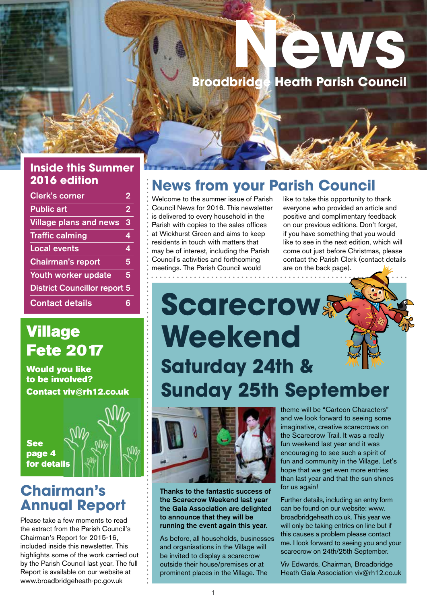# **Newsale School Service School Service Service Service Service Service Service Service Service Service Service Heath Parish Council**

### **Inside this Summer 2016 edition**

| <b>Clerk's corner</b>               | $\overline{2}$ |
|-------------------------------------|----------------|
| <b>Public art</b>                   | $\overline{2}$ |
| <b>Village plans and news</b>       | 3              |
| <b>Traffic calming</b>              | 4              |
| <b>Local events</b>                 | 4              |
| <b>Chairman's report</b>            | 5              |
| Youth worker update                 | 5              |
| <b>District Councillor report 5</b> |                |
| <b>Contact details</b>              | ÷              |

## Village Fete 2017

Would you like to be involved? Contact viv@rh12.co.uk

See page 4 for details

## **Chairman's Annual Report**

Please take a few moments to read the extract from the Parish Council's Chairman's Report for 2015-16, included inside this newsletter. This highlights some of the work carried out by the Parish Council last year. The full Report is available on our website at www.broadbridgeheath-pc.gov.uk

## **News from your Parish Council**

Welcome to the summer issue of Parish Council News for 2016. This newsletter is delivered to every household in the Parish with copies to the sales offices at Wickhurst Green and aims to keep residents in touch with matters that may be of interest, including the Parish Council's activities and forthcoming meetings. The Parish Council would . . . . . . . . . . . . . . . . . .

like to take this opportunity to thank everyone who provided an article and positive and complimentary feedback on our previous editions. Don't forget, if you have something that you would like to see in the next edition, which will come out just before Christmas, please contact the Parish Clerk (contact details are on the back page).

# **Scarecrow Weekend Saturday 24th & Sunday 25th September**



Thanks to the fantastic success of the Scarecrow Weekend last year the Gala Association are delighted to announce that they will be running the event again this year.

As before, all households, businesses and organisations in the Village will be invited to display a scarecrow outside their house/premises or at prominent places in the Village. The

theme will be "Cartoon Characters" and we look forward to seeing some imaginative, creative scarecrows on the Scarecrow Trail. It was a really fun weekend last year and it was encouraging to see such a spirit of fun and community in the Village. Let's hope that we get even more entries than last year and that the sun shines for us again!

Further details, including an entry form can be found on our website: www. broadbridgeheath.co.uk. This year we will only be taking entries on line but if this causes a problem please contact me. I look forward to seeing you and your scarecrow on 24th/25th September.

Viv Edwards, Chairman, Broadbridge Heath Gala Association viv@rh12.co.uk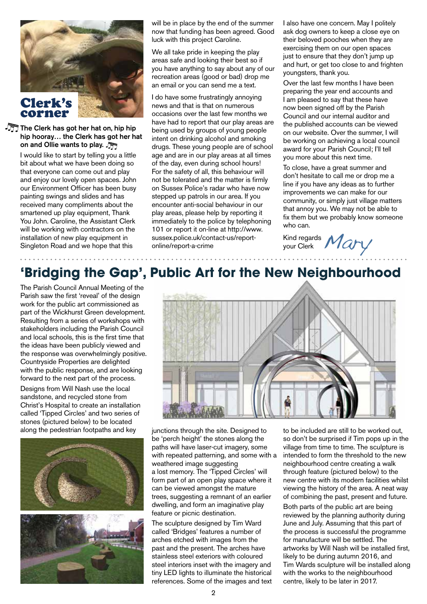

The Clerk has got her hat on, hip hip hip hooray… the Clerk has got her hat on and Ollie wants to play.

> I would like to start by telling you a little bit about what we have been doing so that everyone can come out and play and enjoy our lovely open spaces. John our Environment Officer has been busy painting swings and slides and has received many compliments about the smartened up play equipment, Thank You John. Caroline, the Assistant Clerk will be working with contractors on the installation of new play equipment in Singleton Road and we hope that this

will be in place by the end of the summer now that funding has been agreed. Good luck with this project Caroline.

We all take pride in keeping the play areas safe and looking their best so if you have anything to say about any of our recreation areas (good or bad) drop me an email or you can send me a text.

I do have some frustratingly annoying news and that is that on numerous occasions over the last few months we have had to report that our play areas are being used by groups of young people intent on drinking alcohol and smoking drugs. These young people are of school age and are in our play areas at all times of the day, even during school hours! For the safety of all, this behaviour will not be tolerated and the matter is firmly on Sussex Police's radar who have now stepped up patrols in our area. If you encounter anti-social behaviour in our play areas, please help by reporting it immediately to the police by telephoning 101 or report it on-line at http://www. sussex.police.uk/contact-us/reportonline/report-a-crime

I also have one concern. May I politely ask dog owners to keep a close eye on their beloved pooches when they are exercising them on our open spaces just to ensure that they don't jump up and hurt, or get too close to and frighten youngsters, thank you.

Over the last few months I have been preparing the year end accounts and I am pleased to say that these have now been signed off by the Parish Council and our internal auditor and the published accounts can be viewed on our website. Over the summer, I will be working on achieving a local council award for your Parish Council; I'll tell you more about this next time.

To close, have a great summer and don't hesitate to call me or drop me a line if you have any ideas as to further improvements we can make for our community, or simply just village matters that annoy you. We may not be able to fix them but we probably know someone who can.

Kind regards *Mary* 

## **'Bridging the Gap', Public Art for the New Neighbourhood**

The Parish Council Annual Meeting of the Parish saw the first 'reveal' of the design work for the public art commissioned as part of the Wickhurst Green development. Resulting from a series of workshops with stakeholders including the Parish Council and local schools, this is the first time that the ideas have been publicly viewed and the response was overwhelmingly positive. Countryside Properties are delighted with the public response, and are looking forward to the next part of the process.

Designs from Will Nash use the local sandstone, and recycled stone from Christ's Hospital to create an installation called 'Tipped Circles' and two series of stones (pictured below) to be located along the pedestrian footpaths and key





junctions through the site. Designed to be 'perch height' the stones along the paths will have laser-cut imagery, some with repeated patterning, and some with a weathered image suggesting a lost memory. The 'Tipped Circles' will form part of an open play space where it can be viewed amongst the mature trees, suggesting a remnant of an earlier dwelling, and form an imaginative play feature or picnic destination.

The sculpture designed by Tim Ward called 'Bridges' features a number of arches etched with images from the past and the present. The arches have stainless steel exteriors with coloured steel interiors inset with the imagery and tiny LED lights to illuminate the historical references. Some of the images and text to be included are still to be worked out, so don't be surprised if Tim pops up in the village from time to time. The sculpture is intended to form the threshold to the new neighbourhood centre creating a walk through feature (pictured below) to the new centre with its modern facilities whilst viewing the history of the area. A neat way of combining the past, present and future. Both parts of the public art are being reviewed by the planning authority during June and July. Assuming that this part of the process is successful the programme for manufacture will be settled. The artworks by Will Nash will be installed first, likely to be during autumn 2016, and Tim Wards sculpture will be installed along with the works to the neighbourhood centre, likely to be later in 2017.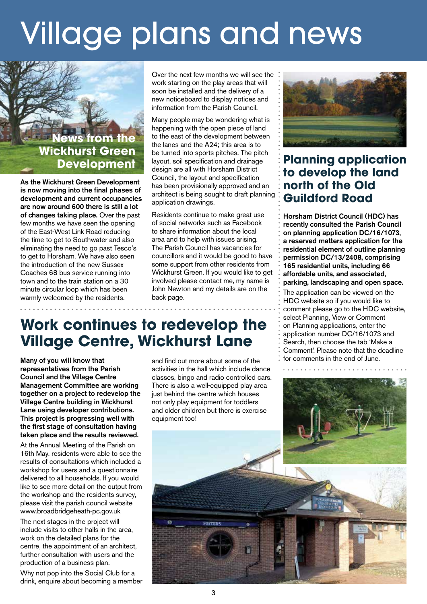# Village plans and news

## **News from the Wickhurst Green Development**

As the Wickhurst Green Development is now moving into the final phases of development and current occupancies are now around 600 there is still a lot of changes taking place. Over the past few months we have seen the opening of the East-West Link Road reducing the time to get to Southwater and also eliminating the need to go past Tesco's to get to Horsham. We have also seen the introduction of the new Sussex Coaches 68 bus service running into town and to the train station on a 30 minute circular loop which has been warmly welcomed by the residents.

Over the next few months we will see the : work starting on the play areas that will soon be installed and the delivery of a new noticeboard to display notices and information from the Parish Council.

Many people may be wondering what is happening with the open piece of land to the east of the development between the lanes and the A24; this area is to be turned into sports pitches. The pitch layout, soil specification and drainage design are all with Horsham District Council, the layout and specification has been provisionally approved and an architect is being sought to draft planning application drawings.

Residents continue to make great use of social networks such as Facebook to share information about the local area and to help with issues arising. The Parish Council has vacancies for councillors and it would be good to have some support from other residents from Wickhurst Green. If you would like to get involved please contact me, my name is John Newton and my details are on the back page.

## **Work continues to redevelop the Village Centre, Wickhurst Lane**

Many of you will know that representatives from the Parish Council and the Village Centre Management Committee are working together on a project to redevelop the Village Centre building in Wickhurst Lane using developer contributions. This project is progressing well with the first stage of consultation having taken place and the results reviewed.

At the Annual Meeting of the Parish on 16th May, residents were able to see the results of consultations which included a workshop for users and a questionnaire delivered to all households. If you would like to see more detail on the output from the workshop and the residents survey, please visit the parish council website www.broadbridgeheath-pc.gov.uk

The next stages in the project will include visits to other halls in the area, work on the detailed plans for the centre, the appointment of an architect, further consultation with users and the production of a business plan.

Why not pop into the Social Club for a drink, enquire about becoming a member

and find out more about some of the activities in the hall which include dance classes, bingo and radio controlled cars. There is also a well-equipped play area just behind the centre which houses not only play equipment for toddlers and older children but there is exercise equipment too!



## **Planning application to develop the land north of the Old Guildford Road**

Horsham District Council (HDC) has recently consulted the Parish Council on planning application DC/16/1073, a reserved matters application for the residential element of outline planning permission DC/13/2408, comprising 165 residential units, including 66 affordable units, and associated, parking, landscaping and open space.

The application can be viewed on the HDC website so if you would like to comment please go to the HDC website, select Planning, View or Comment on Planning applications, enter the application number DC/16/1073 and Search, then choose the tab 'Make a Comment'. Please note that the deadline for comments in the end of June.



**FOSTER'S**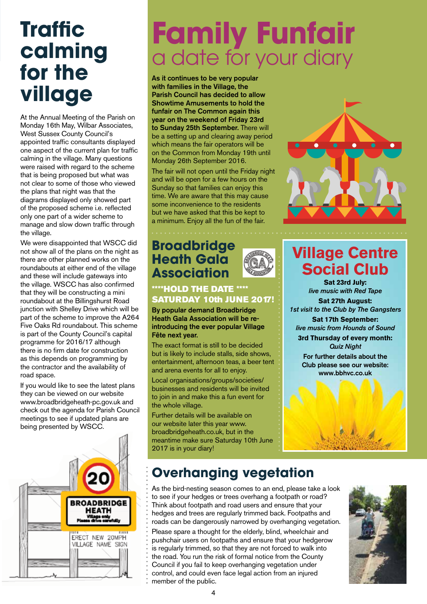## **Traffic calming for the village**

At the Annual Meeting of the Parish on Monday 16th May, Wilbar Associates, West Sussex County Council's appointed traffic consultants displayed one aspect of the current plan for traffic calming in the village. Many questions were raised with regard to the scheme that is being proposed but what was not clear to some of those who viewed the plans that night was that the diagrams displayed only showed part of the proposed scheme i.e. reflected only one part of a wider scheme to manage and slow down traffic through the village.

We were disappointed that WSCC did not show all of the plans on the night as there are other planned works on the roundabouts at either end of the village and these will include gateways into the village. WSCC has also confirmed that they will be constructing a mini roundabout at the Billingshurst Road junction with Shelley Drive which will be part of the scheme to improve the A264 Five Oaks Rd roundabout. This scheme is part of the County Council's capital programme for 2016/17 although there is no firm date for construction as this depends on programming by the contractor and the availability of road space.

If you would like to see the latest plans they can be viewed on our website www.broadbridgeheath-pc.gov.uk and check out the agenda for Parish Council meetings to see if updated plans are being presented by WSCC.



# **Family Funfair** a date for your diary

As it continues to be very popular with families in the Village, the Parish Council has decided to allow Showtime Amusements to hold the funfair on The Common again this year on the weekend of Friday 23rd to Sunday 25th September. There will be a setting up and clearing away period which means the fair operators will be on the Common from Monday 19th until Monday 26th September 2016.

The fair will not open until the Friday night and will be open for a few hours on the Sunday so that families can enjoy this time. We are aware that this may cause some inconvenience to the residents but we have asked that this be kept to a minimum. Enjoy all the fun of the fair.

## **Broadbridge Heath Gala Association**

### \*\*\*\*HOLD THE DATE \*\*\*\* SATURDAY 10th JUNE 2017!

By popular demand Broadbridge Heath Gala Association will be reintroducing the ever popular Village Fête next year.

The exact format is still to be decided but is likely to include stalls, side shows, entertainment, afternoon teas, a beer tent and arena events for all to enjoy.

Local organisations/groups/societies/ businesses and residents will be invited to join in and make this a fun event for the whole village.

Further details will be available on our website later this year www. broadbridgeheath.co.uk, but in the meantime make sure Saturday 10th June 2017 is in your diary!



## Village Centre Social Club

Sat 23rd July: *live music with Red Tape* Sat 27th August: *1st visit to the Club by The Gangsters*

Sat 17th September: *live music from Hounds of Sound*

3rd Thursday of every month: *Quiz Night*

**For further details about the Club please see our website: www.bbhvc.co.uk**



## **Overhanging vegetation**

As the bird-nesting season comes to an end, please take a look to see if your hedges or trees overhang a footpath or road? Think about footpath and road users and ensure that your hedges and trees are regularly trimmed back. Footpaths and roads can be dangerously narrowed by overhanging vegetation.

Please spare a thought for the elderly, blind, wheelchair and pushchair users on footpaths and ensure that your hedgerow is regularly trimmed, so that they are not forced to walk into the road. You run the risk of formal notice from the County Council if you fail to keep overhanging vegetation under control, and could even face legal action from an injured member of the public.

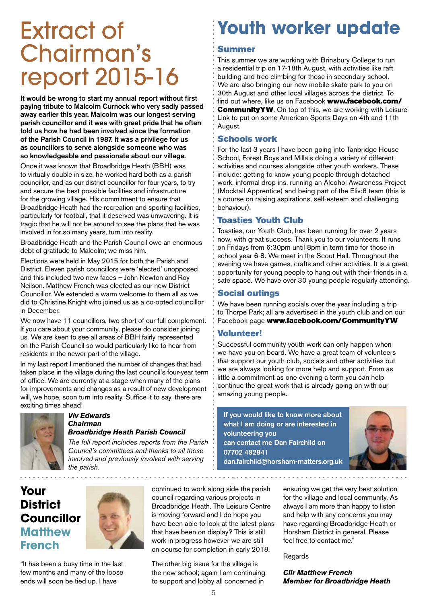# Extract of Chairman's report 2015-16

It would be wrong to start my annual report without first paying tribute to Malcolm Curnock who very sadly passed away earlier this year. Malcolm was our longest serving parish councillor and it was with great pride that he often told us how he had been involved since the formation of the Parish Council in 1987. It was a privilege for us as councillors to serve alongside someone who was so knowledgeable and passionate about our village.

Once it was known that Broadbridge Heath (BBH) was to virtually double in size, he worked hard both as a parish councillor, and as our district councillor for four years, to try and secure the best possible facilities and infrastructure for the growing village. His commitment to ensure that Broadbridge Heath had the recreation and sporting facilities, particularly for football, that it deserved was unwavering. It is tragic that he will not be around to see the plans that he was involved in for so many years, turn into reality.

Broadbridge Heath and the Parish Council owe an enormous debt of gratitude to Malcolm; we miss him.

Elections were held in May 2015 for both the Parish and District. Eleven parish councillors were 'elected' unopposed and this included two new faces – John Newton and Roy Neilson. Matthew French was elected as our new District Councillor. We extended a warm welcome to them all as we did to Christine Knight who joined us as a co-opted councillor in December.

We now have 11 councillors, two short of our full complement. If you care about your community, please do consider joining us. We are keen to see all areas of BBH fairly represented on the Parish Council so would particularly like to hear from residents in the newer part of the village.

In my last report I mentioned the number of changes that had taken place in the village during the last council's four-year term of office. We are currently at a stage when many of the plans for improvements and changes as a result of new development will, we hope, soon turn into reality. Suffice it to say, there are exciting times ahead!



#### *Viv Edwards Chairman Broadbridge Heath Parish Council*

*The full report includes reports from the Parish Council's committees and thanks to all those involved and previously involved with serving the parish.*

## **Youth worker update**

### Summer

This summer we are working with Brinsbury College to run a residential trip on 17-18th August, with activities like raft building and tree climbing for those in secondary school. We are also bringing our new mobile skate park to you on 30th August and other local villages across the district. To find out where, like us on Facebook www.facebook.com/ **CommunityYW.** On top of this, we are working with Leisure Link to put on some American Sports Days on 4th and 11th August.

### Schools work

For the last 3 years I have been going into Tanbridge House School, Forest Boys and Millais doing a variety of different activities and courses alongside other youth workers. These include: getting to know young people through detached work, informal drop ins, running an Alcohol Awareness Project (Mocktail Apprentice) and being part of the Eliv:8 team (this is a course on raising aspirations, self-esteem and challenging behaviour).

### Toasties Youth Club

Toasties, our Youth Club, has been running for over 2 years now, with great success. Thank you to our volunteers. It runs on Fridays from 6:30pm until 8pm in term time for those in school year 6-8. We meet in the Scout Hall. Throughout the evening we have games, crafts and other activities. It is a great opportunity for young people to hang out with their friends in a safe space. We have over 30 young people regularly attending.

### Social outings

We have been running socials over the year including a trip to Thorpe Park; all are advertised in the youth club and on our Facebook page www.facebook.com/CommunityYW

### Volunteer!

Successful community youth work can only happen when we have you on board. We have a great team of volunteers that support our youth club, socials and other activities but we are always looking for more help and support. From as little a commitment as one evening a term you can help continue the great work that is already going on with our amazing young people.

If you would like to know more about what I am doing or are interested in volunteering you can contact me Dan Fairchild on 07702 492841 dan.fairchild@horsham-matters.org.uk



## **Your District Councillor Matthew French**



continued to work along side the parish council regarding various projects in Broadbridge Heath. The Leisure Centre is moving forward and I do hope you have been able to look at the latest plans that have been on display? This is still work in progress however we are still on course for completion in early 2018.

The other big issue for the village is the new school; again I am continuing to support and lobby all concerned in

ensuring we get the very best solution for the village and local community. As always I am more than happy to listen and help with any concerns you may have regarding Broadbridge Heath or Horsham District in general. Please feel free to contact me."

Regards

*Cllr Matthew French Member for Broadbridge Heath*